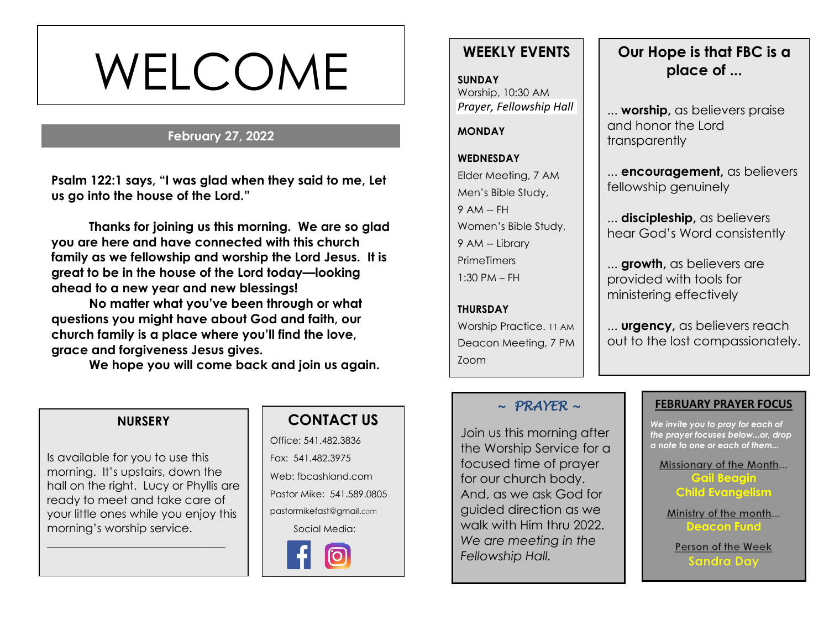# WELCOME

# **February 27, 2022**

**s Psalm 122:1 says, "I was glad when they said to me, Let us go into the house of the Lord."**

**Thanks for joining us this morning. We are so glad you are here and have connected with this church family as we fellowship and worship the Lord Jesus. It is great to be in the house of the Lord today—looking ahead to a new year and new blessings!** 

**No matter what you've been through or what questions you might have about God and faith, our church family is a place where you'll find the love, grace and forgiveness Jesus gives.**

**We hope you will come back and join us again.**

# **WEEKLY EVENTS**

**SUNDAY** Worship, 10:30 AM *Prayer, Fellowship Hall*

**MONDAY**

#### **WEDNESDAY**

Elder Meeting, 7 AM Men's Bible Study,

9 AM -- FH Women's Bible Study, 9 AM -- Library **PrimeTimers** 1:30 PM – FH

#### **THURSDAY**

Worship Practice. 11 AM Deacon Meeting, 7 PM Zoom

# **Our Hope is that FBC is a place of ...**

... **worship,** as believers praise and honor the Lord transparently

... **encouragement,** as believers fellowship genuinely

... **discipleship,** as believers hear God's Word consistently

... **growth,** as believers are provided with tools for ministering effectively

... **urgency,** as believers reach out to the lost compassionately.

#### **NURSERY**

Is available for you to use this morning. It's upstairs, down the hall on the right. Lucy or Phyllis are ready to meet and take care of your little ones while you enjoy this morning's worship service.

\_\_\_\_\_\_\_\_\_\_\_\_\_\_\_\_\_\_\_\_\_\_\_\_\_\_\_\_\_\_\_

# **CONTACT US**

Office: 541.482.3836 Fax: 541.482.3975 Web: fbcashland.com Pastor Mike: 541.589.0805 pastormikefast@gmail.com Social Media:



## *~ PRAYER ~*

Join us this morning after the Worship Service for a focused time of prayer for our church body. And, as we ask God for guided direction as we walk with Him thru 2022. *We are meeting in the Fellowship Hall.* 

#### **FEBRUARY PRAYER FOCUS**

*We invite you to pray for each of the prayer focuses below...or, drop a note to one or each of them...*

Missionary of the Month...

**Gail Beagin Child Evangelism**

Ministry of the month... **Deacon Fund**

Person of the Week **Sandra Day**